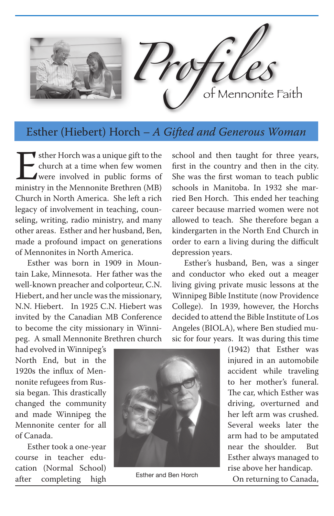

## Esther (Hiebert) Horch *– A Gifted and Generous Woman*

Sther Horch was a unique gift to the<br>church at a time when few women<br>were involved in public forms of<br>ministry in the Mennonite Brethren (MB) church at a time when few women were involved in public forms of ministry in the Mennonite Brethren (MB) Church in North America. She left a rich legacy of involvement in teaching, counseling, writing, radio ministry, and many other areas. Esther and her husband, Ben, made a profound impact on generations of Mennonites in North America.

Esther was born in 1909 in Mountain Lake, Minnesota. Her father was the well-known preacher and colporteur, C.N. Hiebert, and her uncle was the missionary, N.N. Hiebert. In 1925 C.N. Hiebert was invited by the Canadian MB Conference to become the city missionary in Winnipeg. A small Mennonite Brethren church

had evolved in Winnipeg's North End, but in the 1920s the influx of Mennonite refugees from Russia began. This drastically changed the community and made Winnipeg the Mennonite center for all of Canada.

Esther took a one-year course in teacher education (Normal School) after completing high

Esther and Ben Horch

school and then taught for three years, first in the country and then in the city. She was the first woman to teach public schools in Manitoba. In 1932 she married Ben Horch. This ended her teaching career because married women were not allowed to teach. She therefore began a kindergarten in the North End Church in order to earn a living during the difficult depression years.

Esther's husband, Ben, was a singer and conductor who eked out a meager living giving private music lessons at the Winnipeg Bible Institute (now Providence College). In 1939, however, the Horchs decided to attend the Bible Institute of Los Angeles (BIOLA), where Ben studied music for four years. It was during this time

> (1942) that Esther was injured in an automobile accident while traveling to her mother's funeral. The car, which Esther was driving, overturned and her left arm was crushed. Several weeks later the arm had to be amputated near the shoulder. But Esther always managed to rise above her handicap.

On returning to Canada,